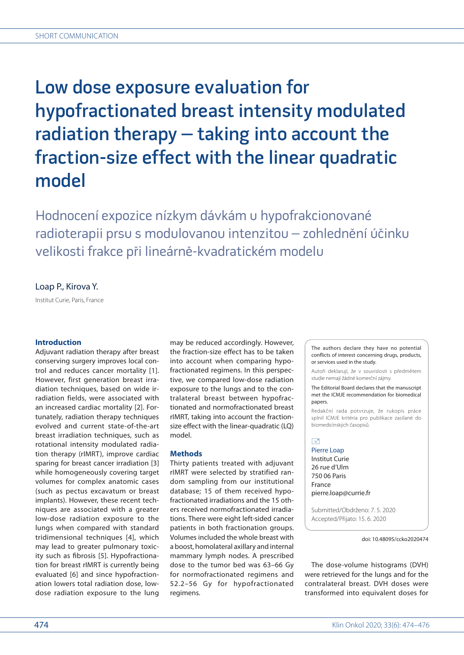# Low dose exposure evaluation for hypofractionated breast intensity modulated radiation therapy – taking into account the fraction-size effect with the linear quadratic model

Hodnocení expozice nízkym dávkám u hypofrakcionované radioterapii prsu s modulovanou intenzitou – zohlednění účinku velikosti frakce při lineárně-kvadratickém modelu

## Loap P., Kirova Y.

Institut Curie, Paris, France

## **Introduction**

Adjuvant radiation therapy after breast conserving surgery improves local control and reduces cancer mortality [1]. However, first generation breast irradiation techniques, based on wide irradiation fields, were associated with an increased cardiac mortality [2]. Fortunately, radiation therapy techniques evolved and current state-of-the-art breast irradiation techniques, such as rotational intensity modulated radiation therapy (rIMRT), improve cardiac sparing for breast cancer irradiation [3] while homogeneously covering target volumes for complex anatomic cases (such as pectus excavatum or breast implants). However, these recent techniques are associated with a greater low-dose radiation exposure to the lungs when compared with standard tridimensional techniques [4], which may lead to greater pulmonary toxicity such as fibrosis [5]. Hypofractionation for breast rIMRT is currently being evaluated [6] and since hypofractionation lowers total radiation dose, lowdose radiation exposure to the lung

may be reduced accordingly. However, the fraction-size effect has to be taken into account when comparing hypofractionated regimens. In this perspective, we compared low-dose radiation exposure to the lungs and to the contralateral breast between hypofractionated and normofractionated breast rIMRT, taking into account the fractionsize effect with the linear-quadratic (LQ) model.

## **Methods**

Thirty patients treated with adjuvant rIMRT were selected by stratified random sampling from our institutional database; 15 of them received hypofractionated irradiations and the 15 others received normofractionated irradiations. There were eight left-sided cancer patients in both fractionation groups. Volumes included the whole breast with a boost, homolateral axillary and internal mammary lymph nodes. A prescribed dose to the tumor bed was 63–66 Gy for normofractionated regimens and 52.2–56 Gy for hypofractionated regimens.

The authors declare they have no potential conflicts of interest concerning drugs, products, or services used in the study.

Autoři deklarují, že v souvislosti s předmětem studie nemají žádné komerční zájmy.

The Editorial Board declares that the manuscript met the ICMJE recommendation for biomedical papers.

Redakční rada potvrzuje, že rukopis práce splnil ICMJE kritéria pro publikace zasílané do biomedicínských časopisů.

# $\Box$

Pierre Loap Institut Curie 26 rue d'Ulm 750 06 Paris France pierre.loap@currie.fr

Submitted/Obdrženo: 7. 5. 2020 Accepted/Přijato: 15. 6. 2020

doi: 10.48095/ccko2020474

The dose-volume histograms (DVH) were retrieved for the lungs and for the contralateral breast. DVH doses were transformed into equivalent doses for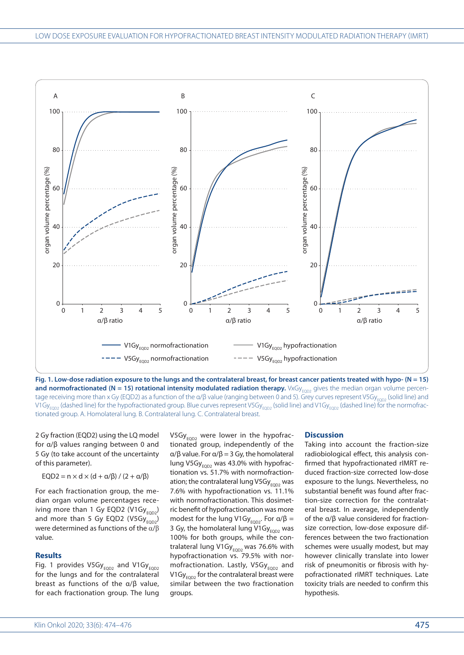

**Fig. 1. Low-dose radiation exposure to the lungs and the contralateral breast, for breast cancer patients treated with hypo- (N = 15)**  and normofractionated (N = 15) rotational intensity modulated radiation therapy. VxGy<sub>EQD2</sub> gives the median organ volume percentage receiving more than x Gy (EQD2) as a function of the  $\alpha/\beta$  value (ranging between 0 and 5). Grey curves represent V5Gy<sub>EOD2</sub> (solid line) and V1Gy<sub>EOD2</sub> (dashed line) for the hypofractionated group. Blue curves represent V5Gy<sub>EQD2</sub> (solid line) and V1Gy<sub>EQD2</sub> (dashed line) for the normofractionated group. A. Homolateral lung. B. Contralateral lung. C. Contralateral breast.

2 Gy fraction (EQD2) using the LQ model for α/β values ranging between 0 and 5 Gy (to take account of the uncertainty of this parameter).

EQD2 =  $n \times d \times (d + \alpha/\beta) / (2 + \alpha/\beta)$ 

For each fractionation group, the median organ volume percentages receiving more than 1 Gy EQD2  $(V1Gy_{FOD2})$ and more than 5 Gy EQD2  $(V5Gy_{FOD2})$ were determined as functions of the  $\alpha/\beta$ value.

## **Results**

Fig. 1 provides  $V5Gy_{FOD2}$  and  $V1Gy_{FOD2}$ for the lungs and for the contralateral breast as functions of the α/β value, for each fractionation group. The lung V5Gy $_{\text{EOD2}}$  were lower in the hypofractionated group, independently of the α/β value. For α/β = 3 Gy, the homolateral lung V5G $y_{FOD2}$  was 43.0% with hypofractionation vs. 51.7% with normofractionation; the contralateral lung V5Gy $_{FOD2}$  was 7.6% with hypofractionation vs. 11.1% with normofractionation. This dosimetric benefit of hypofractionation was more modest for the lung V1Gy<sub>FOD2</sub>. For  $\alpha/\beta$  = 3 Gy, the homolateral lung V1Gy $_{EOD2}$  was 100% for both groups, while the contralateral lung V1Gy $_{EQD2}$  was 76.6% with hypofractionation vs. 79.5% with normofractionation. Lastly, V5Gy $_{EOD2}$  and V1Gy $_{EOD2}$  for the contralateral breast were similar between the two fractionation groups.

#### **Discussion**

Taking into account the fraction-size radiobiological effect, this analysis confirmed that hypofractionated rIMRT reduced fraction-size corrected low-dose exposure to the lungs. Nevertheless, no substantial benefit was found after fraction-size correction for the contralateral breast. In average, independently of the α/β value considered for fractionsize correction, low-dose exposure differences between the two fractionation schemes were usually modest, but may however clinically translate into lower risk of pneumonitis or fibrosis with hypofractionated rIMRT techniques. Late toxicity trials are needed to confirm this hypothesis.